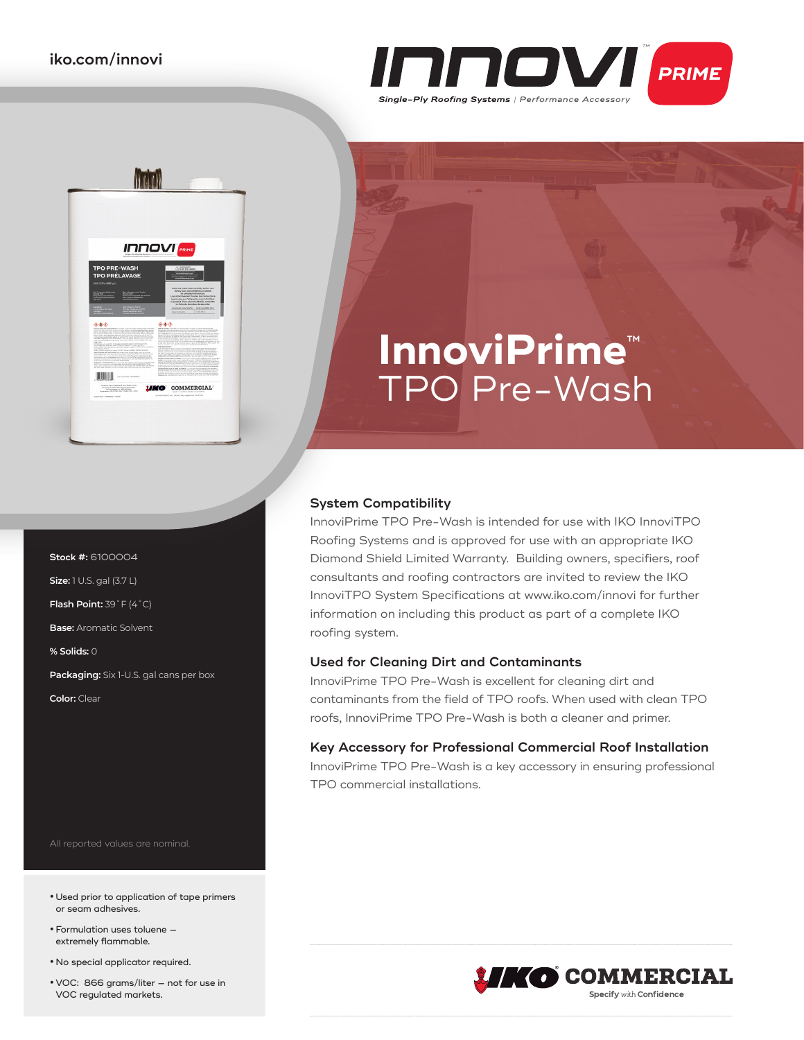



# **InnoviPrime**™ TPO Pre-Wash

**System Compatibility**

InnoviPrime TPO Pre-Wash is intended for use with IKO InnoviTPO Roofing Systems and is approved for use with an appropriate IKO Diamond Shield Limited Warranty. Building owners, specifiers, roof consultants and roofing contractors are invited to review the IKO InnoviTPO System Specifications at www.iko.com/innovi for further information on including this product as part of a complete IKO roofing system.

### **Used for Cleaning Dirt and Contaminants**

InnoviPrime TPO Pre-Wash is excellent for cleaning dirt and contaminants from the field of TPO roofs. When used with clean TPO roofs, InnoviPrime TPO Pre-Wash is both a cleaner and primer.

### **Key Accessory for Professional Commercial Roof Installation**

InnoviPrime TPO Pre-Wash is a key accessory in ensuring professional TPO commercial installations.

All reported values are nominal.

- **•**Used prior to application of tape primers or seam adhesives.
- **•**Formulation uses toluene extremely flammable.
- **•** No special applicator required.
- **•**VOC: 866 grams/liter not for use in VOC regulated markets.



**Size:** 1 U.S. gal (3.7 L) **Flash Point:** 39˚F (4˚C) **Base:** Aromatic Solvent **% Solids:** 0

**Stock #:** 6100004

**Packaging:** Six 1-U.S. gal cans per box

**Color:** Clear